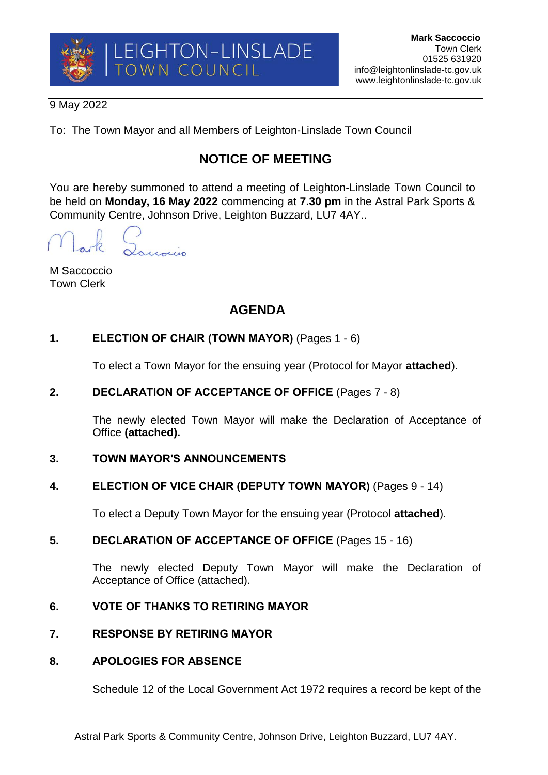

### 9 May 2022

To: The Town Mayor and all Members of Leighton-Linslade Town Council

# **NOTICE OF MEETING**

You are hereby summoned to attend a meeting of Leighton-Linslade Town Council to be held on **Monday, 16 May 2022** commencing at **7.30 pm** in the Astral Park Sports & Community Centre, Johnson Drive, Leighton Buzzard, LU7 4AY..

Loucoccio

M Saccoccio Town Clerk

# **AGENDA**

# **1. ELECTION OF CHAIR (TOWN MAYOR)** (Pages 1 - 6)

To elect a Town Mayor for the ensuing year (Protocol for Mayor **attached**).

# **2. DECLARATION OF ACCEPTANCE OF OFFICE** (Pages 7 - 8)

The newly elected Town Mayor will make the Declaration of Acceptance of Office **(attached).**

#### **3. TOWN MAYOR'S ANNOUNCEMENTS**

# **4. ELECTION OF VICE CHAIR (DEPUTY TOWN MAYOR)** (Pages 9 - 14)

To elect a Deputy Town Mayor for the ensuing year (Protocol **attached**).

# **5. DECLARATION OF ACCEPTANCE OF OFFICE** (Pages 15 - 16)

The newly elected Deputy Town Mayor will make the Declaration of Acceptance of Office (attached).

# **6. VOTE OF THANKS TO RETIRING MAYOR**

# **7. RESPONSE BY RETIRING MAYOR**

#### **8. APOLOGIES FOR ABSENCE**

Schedule 12 of the Local Government Act 1972 requires a record be kept of the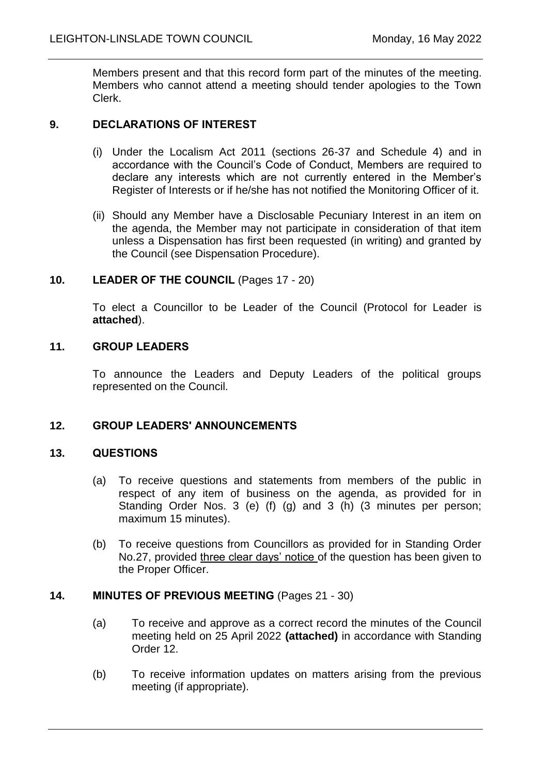Members present and that this record form part of the minutes of the meeting. Members who cannot attend a meeting should tender apologies to the Town Clerk.

#### **9. DECLARATIONS OF INTEREST**

- (i) Under the Localism Act 2011 (sections 26-37 and Schedule 4) and in accordance with the Council's Code of Conduct, Members are required to declare any interests which are not currently entered in the Member's Register of Interests or if he/she has not notified the Monitoring Officer of it.
- (ii) Should any Member have a Disclosable Pecuniary Interest in an item on the agenda, the Member may not participate in consideration of that item unless a Dispensation has first been requested (in writing) and granted by the Council (see Dispensation Procedure).

## **10. LEADER OF THE COUNCIL** (Pages 17 - 20)

To elect a Councillor to be Leader of the Council (Protocol for Leader is **attached**).

#### **11. GROUP LEADERS**

To announce the Leaders and Deputy Leaders of the political groups represented on the Council.

#### **12. GROUP LEADERS' ANNOUNCEMENTS**

#### **13. QUESTIONS**

- (a) To receive questions and statements from members of the public in respect of any item of business on the agenda, as provided for in Standing Order Nos. 3 (e) (f) (g) and 3 (h) (3 minutes per person; maximum 15 minutes).
- (b) To receive questions from Councillors as provided for in Standing Order No.27, provided three clear days' notice of the question has been given to the Proper Officer.

#### **14. MINUTES OF PREVIOUS MEETING** (Pages 21 - 30)

- (a) To receive and approve as a correct record the minutes of the Council meeting held on 25 April 2022 **(attached)** in accordance with Standing Order 12.
- (b) To receive information updates on matters arising from the previous meeting (if appropriate).